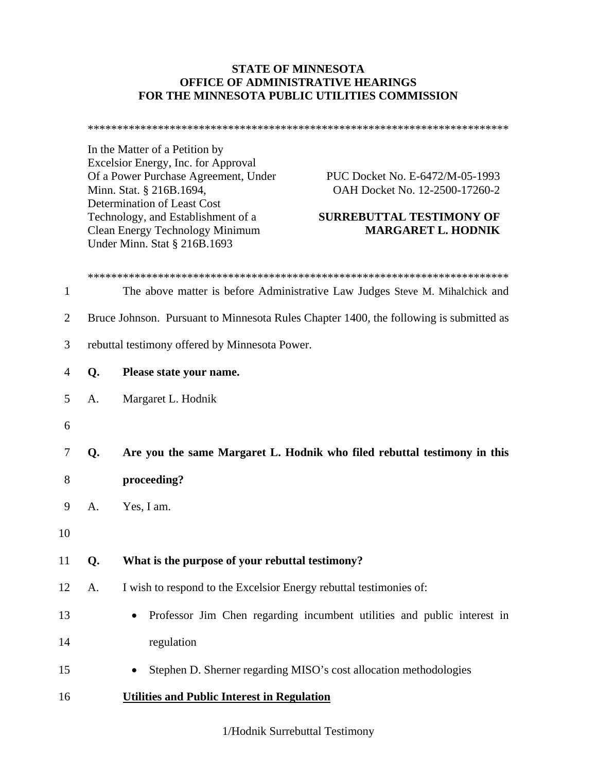## **STATE OF MINNESOTA OFFICE OF ADMINISTRATIVE HEARINGS FOR THE MINNESOTA PUBLIC UTILITIES COMMISSION**

\*\*\*\*\*\*\*\*\*\*\*\*\*\*\*\*\*\*\*\*\*\*\*\*\*\*\*\*\*\*\*\*\*\*\*\*\*\*\*\*\*\*\*\*\*\*\*\*\*\*\*\*\*\*\*\*\*\*\*\*\*\*\*\*\*\*\*\*\*\*\*\*

In the Matter of a Petition by Excelsior Energy, Inc. for Approval Of a Power Purchase Agreement, Under PUC Docket No. E-6472/M-05-1993 Minn. Stat. § 216B.1694, **OAH Docket No. 12-2500-17260-2** Determination of Least Cost Technology, and Establishment of a **SURREBUTTAL TESTIMONY OF**  Clean Energy Technology Minimum **MARGARET L. HODNIK**  Under Minn. Stat § 216B.1693

| 1              |                                                                                        | The above matter is before Administrative Law Judges Steve M. Mihalchick and         |  |
|----------------|----------------------------------------------------------------------------------------|--------------------------------------------------------------------------------------|--|
| $\overline{2}$ | Bruce Johnson. Pursuant to Minnesota Rules Chapter 1400, the following is submitted as |                                                                                      |  |
| 3              | rebuttal testimony offered by Minnesota Power.                                         |                                                                                      |  |
| $\overline{4}$ | Q.                                                                                     | Please state your name.                                                              |  |
| 5              | A.                                                                                     | Margaret L. Hodnik                                                                   |  |
| 6              |                                                                                        |                                                                                      |  |
| 7              | Q.                                                                                     | Are you the same Margaret L. Hodnik who filed rebuttal testimony in this             |  |
| 8              |                                                                                        | proceeding?                                                                          |  |
| 9              | A.                                                                                     | Yes, I am.                                                                           |  |
| 10             |                                                                                        |                                                                                      |  |
| 11             | Q.                                                                                     | What is the purpose of your rebuttal testimony?                                      |  |
| 12             | A.                                                                                     | I wish to respond to the Excelsior Energy rebuttal testimonies of:                   |  |
| 13             |                                                                                        | Professor Jim Chen regarding incumbent utilities and public interest in<br>$\bullet$ |  |
| 14             |                                                                                        | regulation                                                                           |  |
| 15             |                                                                                        | Stephen D. Sherner regarding MISO's cost allocation methodologies                    |  |
| 16             |                                                                                        | <b>Utilities and Public Interest in Regulation</b>                                   |  |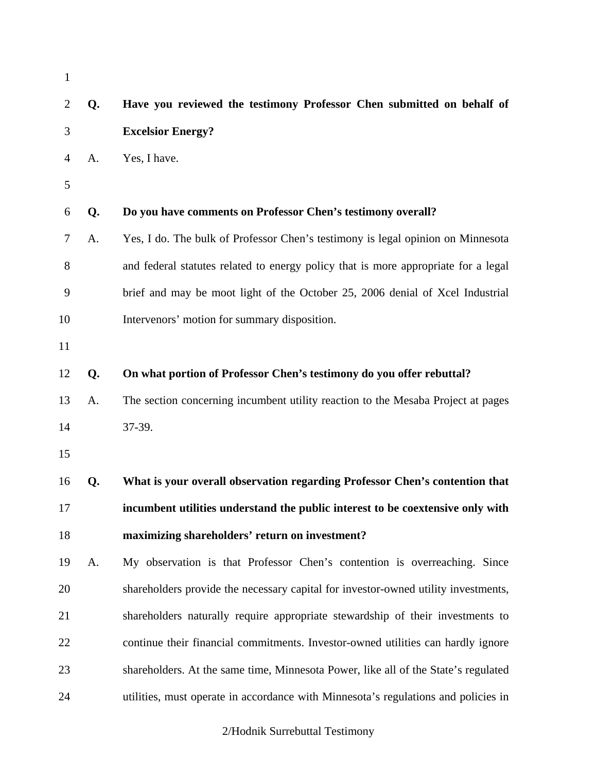| $\mathbf{1}$   |    |                                                                                    |
|----------------|----|------------------------------------------------------------------------------------|
| $\overline{2}$ | Q. | Have you reviewed the testimony Professor Chen submitted on behalf of              |
| 3              |    | <b>Excelsior Energy?</b>                                                           |
| $\overline{4}$ | A. | Yes, I have.                                                                       |
| 5              |    |                                                                                    |
| 6              | Q. | Do you have comments on Professor Chen's testimony overall?                        |
| 7              | A. | Yes, I do. The bulk of Professor Chen's testimony is legal opinion on Minnesota    |
| 8              |    | and federal statutes related to energy policy that is more appropriate for a legal |
| 9              |    | brief and may be moot light of the October 25, 2006 denial of Xcel Industrial      |
| 10             |    | Intervenors' motion for summary disposition.                                       |
| 11             |    |                                                                                    |
| 12             | Q. | On what portion of Professor Chen's testimony do you offer rebuttal?               |
| 13             | A. | The section concerning incumbent utility reaction to the Mesaba Project at pages   |
| 14             |    | 37-39.                                                                             |
| 15             |    |                                                                                    |
| 16             | Q. | What is your overall observation regarding Professor Chen's contention that        |
| 17             |    | incumbent utilities understand the public interest to be coextensive only with     |
| 18             |    | maximizing shareholders' return on investment?                                     |
| 19             | A. | My observation is that Professor Chen's contention is overreaching. Since          |
| 20             |    | shareholders provide the necessary capital for investor-owned utility investments, |
| 21             |    | shareholders naturally require appropriate stewardship of their investments to     |
| 22             |    | continue their financial commitments. Investor-owned utilities can hardly ignore   |
| 23             |    | shareholders. At the same time, Minnesota Power, like all of the State's regulated |
| 24             |    | utilities, must operate in accordance with Minnesota's regulations and policies in |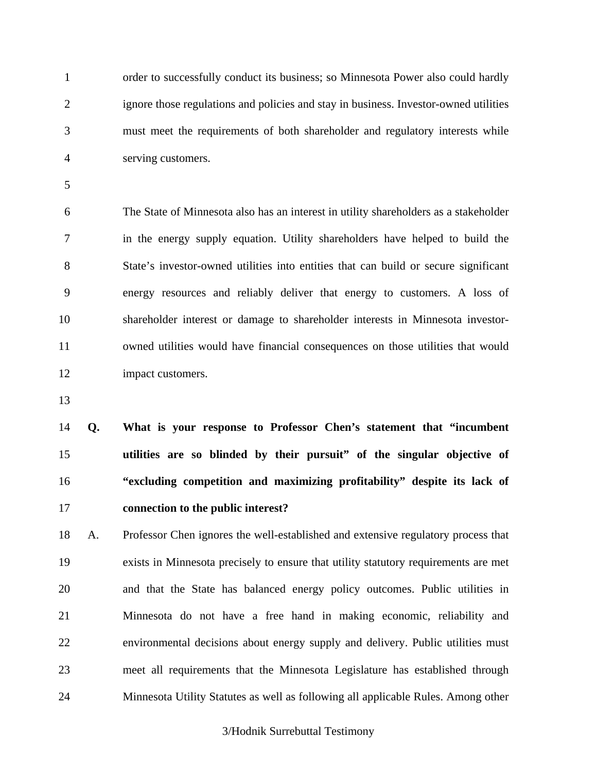1 order to successfully conduct its business; so Minnesota Power also could hardly 2 ignore those regulations and policies and stay in business. Investor-owned utilities 3 must meet the requirements of both shareholder and regulatory interests while 4 serving customers.

5

6 The State of Minnesota also has an interest in utility shareholders as a stakeholder 7 in the energy supply equation. Utility shareholders have helped to build the 8 State's investor-owned utilities into entities that can build or secure significant 9 energy resources and reliably deliver that energy to customers. A loss of 10 shareholder interest or damage to shareholder interests in Minnesota investor-11 owned utilities would have financial consequences on those utilities that would 12 impact customers.

13

**Q. What is your response to Professor Chen's statement that "incumbent utilities are so blinded by their pursuit" of the singular objective of "excluding competition and maximizing profitability" despite its lack of connection to the public interest?** 

18 A. Professor Chen ignores the well-established and extensive regulatory process that 19 exists in Minnesota precisely to ensure that utility statutory requirements are met 20 and that the State has balanced energy policy outcomes. Public utilities in 21 Minnesota do not have a free hand in making economic, reliability and 22 environmental decisions about energy supply and delivery. Public utilities must 23 meet all requirements that the Minnesota Legislature has established through 24 Minnesota Utility Statutes as well as following all applicable Rules. Among other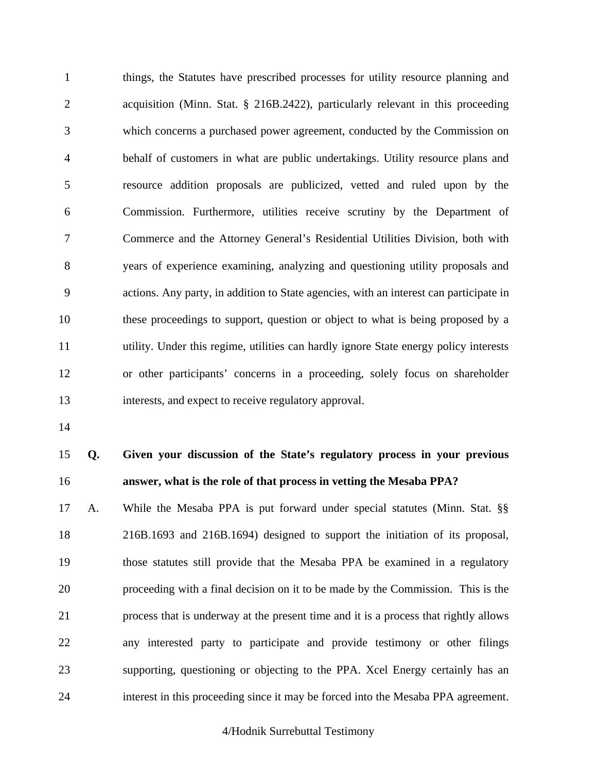1 things, the Statutes have prescribed processes for utility resource planning and 2 acquisition (Minn. Stat. § 216B.2422), particularly relevant in this proceeding 3 which concerns a purchased power agreement, conducted by the Commission on 4 behalf of customers in what are public undertakings. Utility resource plans and 5 resource addition proposals are publicized, vetted and ruled upon by the 6 Commission. Furthermore, utilities receive scrutiny by the Department of 7 Commerce and the Attorney General's Residential Utilities Division, both with 8 years of experience examining, analyzing and questioning utility proposals and 9 actions. Any party, in addition to State agencies, with an interest can participate in 10 these proceedings to support, question or object to what is being proposed by a 11 utility. Under this regime, utilities can hardly ignore State energy policy interests 12 or other participants' concerns in a proceeding, solely focus on shareholder 13 interests, and expect to receive regulatory approval.

14

# 15 **Q. Given your discussion of the State's regulatory process in your previous**  16 **answer, what is the role of that process in vetting the Mesaba PPA?**

17 A. While the Mesaba PPA is put forward under special statutes (Minn. Stat. §§ 18 216B.1693 and 216B.1694) designed to support the initiation of its proposal, 19 those statutes still provide that the Mesaba PPA be examined in a regulatory 20 proceeding with a final decision on it to be made by the Commission. This is the 21 process that is underway at the present time and it is a process that rightly allows 22 any interested party to participate and provide testimony or other filings 23 supporting, questioning or objecting to the PPA. Xcel Energy certainly has an 24 interest in this proceeding since it may be forced into the Mesaba PPA agreement.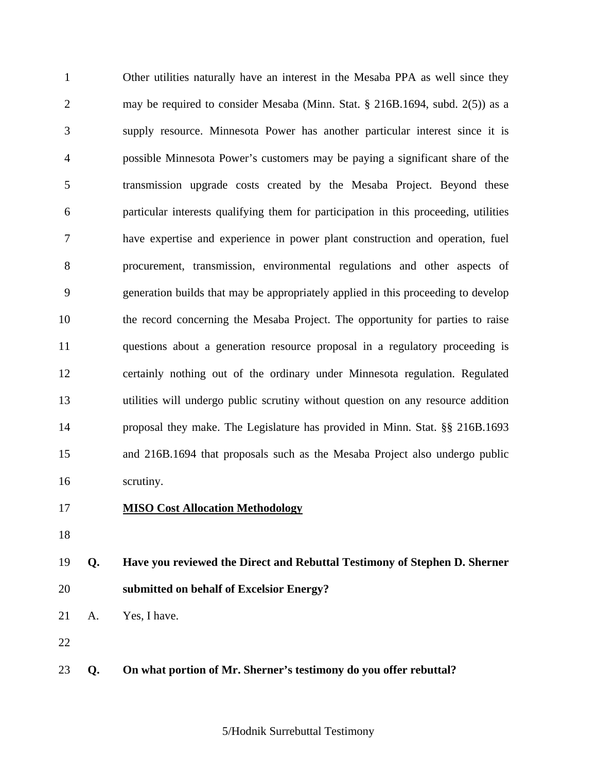1 Other utilities naturally have an interest in the Mesaba PPA as well since they 2 may be required to consider Mesaba (Minn. Stat. § 216B.1694, subd. 2(5)) as a 3 supply resource. Minnesota Power has another particular interest since it is 4 possible Minnesota Power's customers may be paying a significant share of the 5 transmission upgrade costs created by the Mesaba Project. Beyond these 6 particular interests qualifying them for participation in this proceeding, utilities 7 have expertise and experience in power plant construction and operation, fuel 8 procurement, transmission, environmental regulations and other aspects of 9 generation builds that may be appropriately applied in this proceeding to develop 10 the record concerning the Mesaba Project. The opportunity for parties to raise 11 questions about a generation resource proposal in a regulatory proceeding is 12 certainly nothing out of the ordinary under Minnesota regulation. Regulated 13 utilities will undergo public scrutiny without question on any resource addition 14 proposal they make. The Legislature has provided in Minn. Stat. §§ 216B.1693 15 and 216B.1694 that proposals such as the Mesaba Project also undergo public 16 scrutiny.

- 17 **MISO Cost Allocation Methodology**
- 18
- 19 **Q. Have you reviewed the Direct and Rebuttal Testimony of Stephen D. Sherner**  20 **submitted on behalf of Excelsior Energy?**

21 A. Yes, I have.

22

23 **Q. On what portion of Mr. Sherner's testimony do you offer rebuttal?**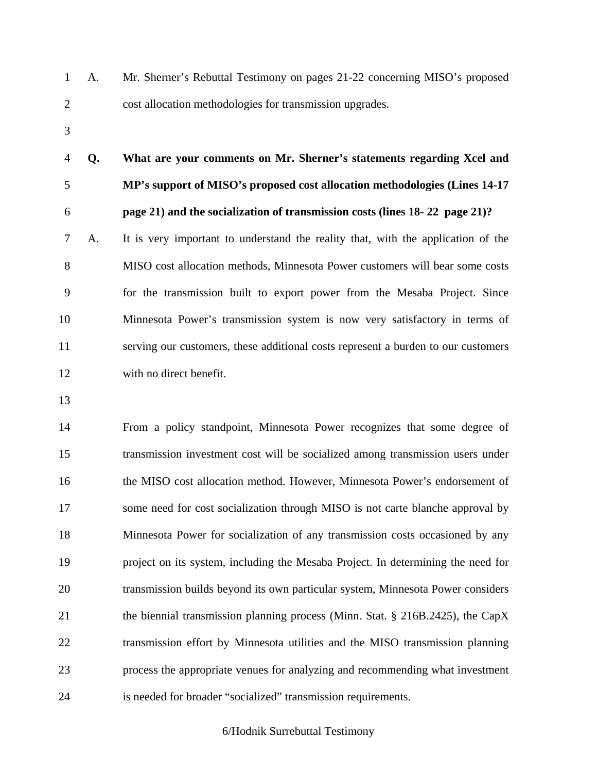- 1 A. Mr. Sherner's Rebuttal Testimony on pages 21-22 concerning MISO's proposed 2 cost allocation methodologies for transmission upgrades.
- 3

4 **Q. What are your comments on Mr. Sherner's statements regarding Xcel and**  5 **MP's support of MISO's proposed cost allocation methodologies (Lines 14-17**  6 **page 21) and the socialization of transmission costs (lines 18- 22 page 21)?** 

7 A. It is very important to understand the reality that, with the application of the 8 MISO cost allocation methods, Minnesota Power customers will bear some costs 9 for the transmission built to export power from the Mesaba Project. Since 10 Minnesota Power's transmission system is now very satisfactory in terms of 11 serving our customers, these additional costs represent a burden to our customers 12 with no direct benefit.

13

14 From a policy standpoint, Minnesota Power recognizes that some degree of 15 transmission investment cost will be socialized among transmission users under 16 the MISO cost allocation method. However, Minnesota Power's endorsement of 17 some need for cost socialization through MISO is not carte blanche approval by 18 Minnesota Power for socialization of any transmission costs occasioned by any 19 project on its system, including the Mesaba Project. In determining the need for 20 transmission builds beyond its own particular system, Minnesota Power considers 21 the biennial transmission planning process (Minn. Stat. § 216B.2425), the CapX 22 transmission effort by Minnesota utilities and the MISO transmission planning 23 process the appropriate venues for analyzing and recommending what investment 24 is needed for broader "socialized" transmission requirements.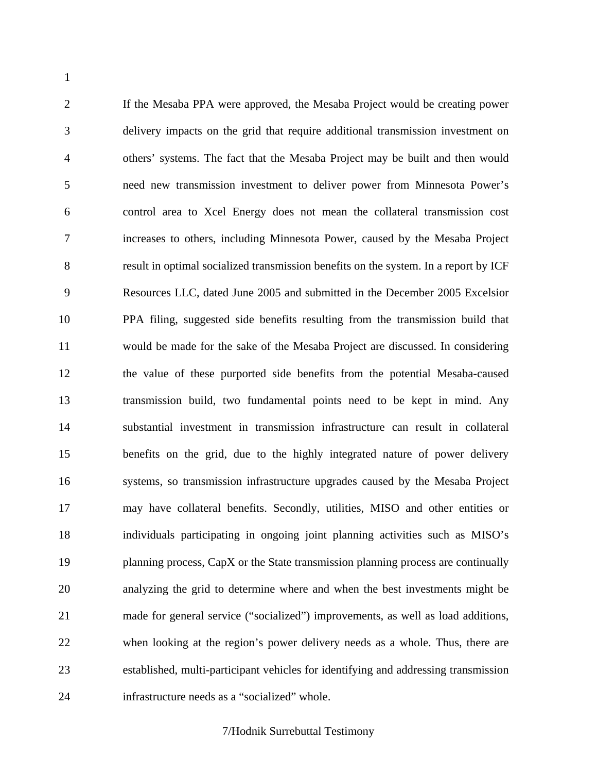2 If the Mesaba PPA were approved, the Mesaba Project would be creating power 3 delivery impacts on the grid that require additional transmission investment on 4 others' systems. The fact that the Mesaba Project may be built and then would 5 need new transmission investment to deliver power from Minnesota Power's 6 control area to Xcel Energy does not mean the collateral transmission cost 7 increases to others, including Minnesota Power, caused by the Mesaba Project 8 result in optimal socialized transmission benefits on the system. In a report by ICF 9 Resources LLC, dated June 2005 and submitted in the December 2005 Excelsior 10 PPA filing, suggested side benefits resulting from the transmission build that 11 would be made for the sake of the Mesaba Project are discussed. In considering 12 the value of these purported side benefits from the potential Mesaba-caused 13 transmission build, two fundamental points need to be kept in mind. Any 14 substantial investment in transmission infrastructure can result in collateral 15 benefits on the grid, due to the highly integrated nature of power delivery 16 systems, so transmission infrastructure upgrades caused by the Mesaba Project 17 may have collateral benefits. Secondly, utilities, MISO and other entities or 18 individuals participating in ongoing joint planning activities such as MISO's 19 planning process, CapX or the State transmission planning process are continually 20 analyzing the grid to determine where and when the best investments might be 21 made for general service ("socialized") improvements, as well as load additions, 22 when looking at the region's power delivery needs as a whole. Thus, there are 23 established, multi-participant vehicles for identifying and addressing transmission 24 infrastructure needs as a "socialized" whole.

1